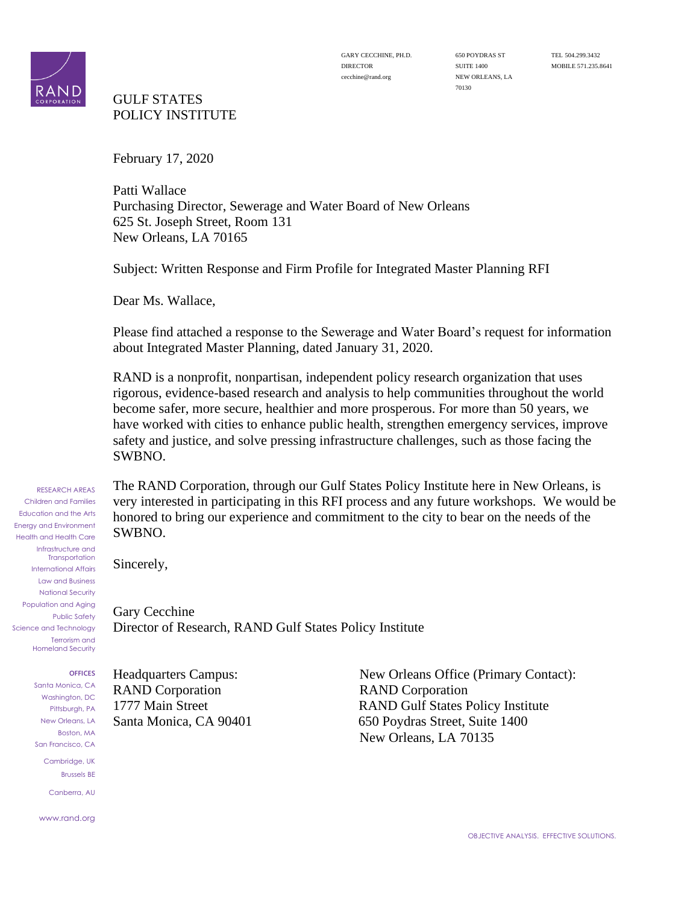

### GULF STATES POLICY INSTITUTE

70130

February 17, 2020

Patti Wallace Purchasing Director, Sewerage and Water Board of New Orleans 625 St. Joseph Street, Room 131 New Orleans, LA 70165

Subject: Written Response and Firm Profile for Integrated Master Planning RFI

Dear Ms. Wallace,

Please find attached a response to the Sewerage and Water Board's request for information about Integrated Master Planning, dated January 31, 2020.

RAND is a nonprofit, nonpartisan, independent policy research organization that uses rigorous, evidence-based research and analysis to help communities throughout the world become safer, more secure, healthier and more prosperous. For more than 50 years, we have worked with cities to enhance public health, strengthen emergency services, improve safety and justice, and solve pressing infrastructure challenges, such as those facing the SWBNO.

The RAND Corporation, through our Gulf States Policy Institute here in New Orleans, is very interested in participating in this RFI process and any future workshops. We would be honored to bring our experience and commitment to the city to bear on the needs of the SWBNO.

Sincerely,

Gary Cecchine Director of Research, RAND Gulf States Policy Institute

Population and Aging Public Safety Science and Technology Terrorism and Homeland Security

RESEARCH AREAS Children and Families Education and the Arts Energy and Environment Health and Health Care Infrastructure and **Transportation** International Affairs Law and Business National Security

**OFFICES**

Santa Monica, CA Washington, DC Pittsburgh, PA New Orleans, LA Boston, MA San Francisco, CA Cambridge, UK Brussels BE Canberra, AU

www.rand.org

RAND Corporation RAND Corporation

Headquarters Campus: New Orleans Office (Primary Contact): 1777 Main Street RAND Gulf States Policy Institute Santa Monica, CA 90401 650 Poydras Street, Suite 1400 New Orleans, LA 70135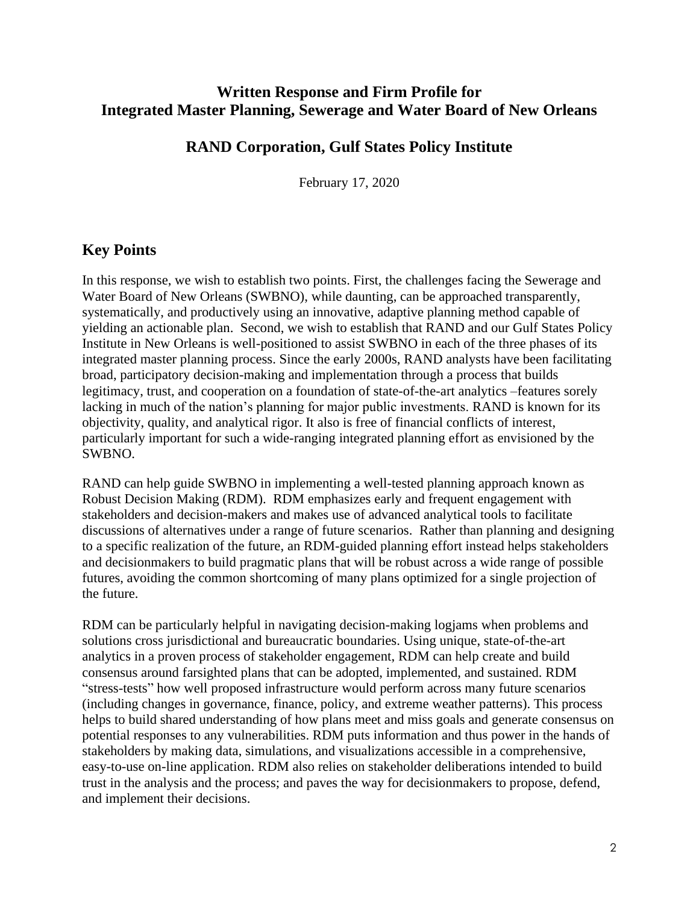# **Written Response and Firm Profile for Integrated Master Planning, Sewerage and Water Board of New Orleans**

## **RAND Corporation, Gulf States Policy Institute**

February 17, 2020

## **Key Points**

In this response, we wish to establish two points. First, the challenges facing the Sewerage and Water Board of New Orleans (SWBNO), while daunting, can be approached transparently, systematically, and productively using an innovative, adaptive planning method capable of yielding an actionable plan. Second, we wish to establish that RAND and our Gulf States Policy Institute in New Orleans is well-positioned to assist SWBNO in each of the three phases of its integrated master planning process. Since the early 2000s, RAND analysts have been facilitating broad, participatory decision-making and implementation through a process that builds legitimacy, trust, and cooperation on a foundation of state-of-the-art analytics –features sorely lacking in much of the nation's planning for major public investments. RAND is known for its objectivity, quality, and analytical rigor. It also is free of financial conflicts of interest, particularly important for such a wide-ranging integrated planning effort as envisioned by the SWBNO.

RAND can help guide SWBNO in implementing a well-tested planning approach known as Robust Decision Making (RDM). RDM emphasizes early and frequent engagement with stakeholders and decision-makers and makes use of advanced analytical tools to facilitate discussions of alternatives under a range of future scenarios. Rather than planning and designing to a specific realization of the future, an RDM-guided planning effort instead helps stakeholders and decisionmakers to build pragmatic plans that will be robust across a wide range of possible futures, avoiding the common shortcoming of many plans optimized for a single projection of the future.

RDM can be particularly helpful in navigating decision-making logjams when problems and solutions cross jurisdictional and bureaucratic boundaries. Using unique, state-of-the-art analytics in a proven process of stakeholder engagement, RDM can help create and build consensus around farsighted plans that can be adopted, implemented, and sustained. RDM "stress-tests" how well proposed infrastructure would perform across many future scenarios (including changes in governance, finance, policy, and extreme weather patterns). This process helps to build shared understanding of how plans meet and miss goals and generate consensus on potential responses to any vulnerabilities. RDM puts information and thus power in the hands of stakeholders by making data, simulations, and visualizations accessible in a comprehensive, easy-to-use on-line application. RDM also relies on stakeholder deliberations intended to build trust in the analysis and the process; and paves the way for decisionmakers to propose, defend, and implement their decisions.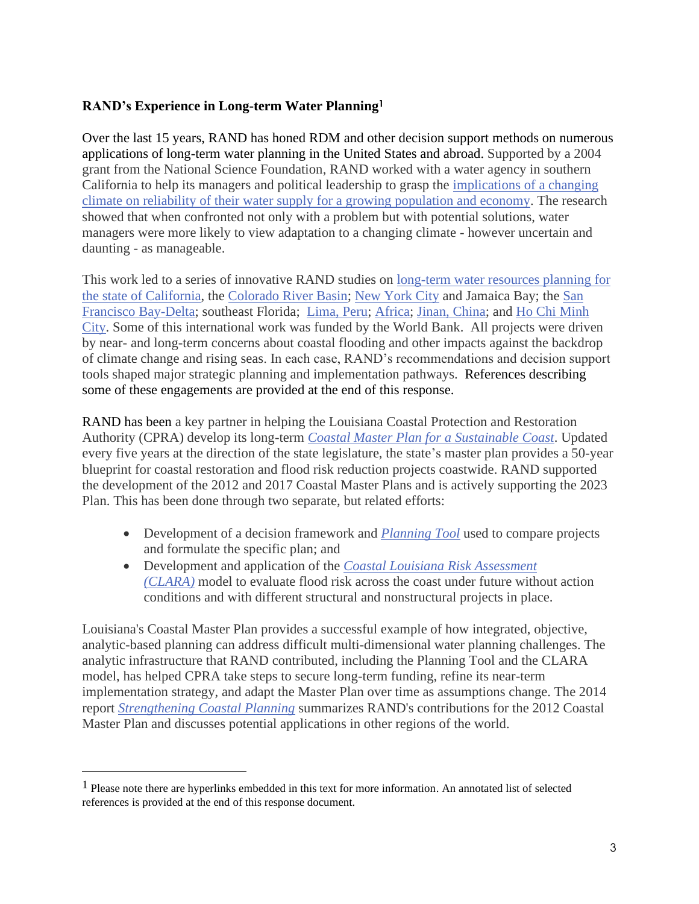### **RAND's Experience in Long-term Water Planning<sup>1</sup>**

Over the last 15 years, RAND has honed RDM and other decision support methods on numerous applications of long-term water planning in the United States and abroad. Supported by a 2004 grant from the National Science Foundation, RAND worked with a water agency in southern California to help its managers and political leadership to grasp the [implications of a changing](https://www.rand.org/pubs/research_briefs/RB9315.html)  [climate on reliability of their water supply for a](https://www.rand.org/pubs/research_briefs/RB9315.html) growing population and economy. The research showed that when confronted not only with a problem but with potential solutions, water managers were more likely to view adaptation to a changing climate - however uncertain and daunting - as manageable.

This work led to a series of innovative RAND studies on [long-term water resources planning for](https://www.rand.org/pubs/research_reports/RR182)  [the state of California,](https://www.rand.org/pubs/research_reports/RR182) the [Colorado River Basin;](https://www.rand.org/pubs/research_reports/RR242.html) [New York City](https://www.rand.org/pubs/research_reports/RR977.html) and Jamaica Bay; the [San](https://www.rand.org/pubs/research_reports/RR2139.html)  [Francisco Bay-Delta;](https://www.rand.org/pubs/research_reports/RR2139.html) southeast Florida; [Lima, Peru;](https://www.rand.org/pubs/external_publications/EP67855.html) [Africa;](https://www.rand.org/well-being/community-health-and-environmental-policy/projects/enhancing-africas-climate.html) [Jinan, China;](https://www.rand.org/pubs/research_reports/RR1682.html) and [Ho Chi Minh](https://www.rand.org/pubs/external_publications/EP50282.html)  [City.](https://www.rand.org/pubs/external_publications/EP50282.html) Some of this international work was funded by the World Bank. All projects were driven by near- and long-term concerns about coastal flooding and other impacts against the backdrop of climate change and rising seas. In each case, RAND's recommendations and decision support tools shaped major strategic planning and implementation pathways. References describing some of these engagements are provided at the end of this response.

RAND has been a key partner in helping the Louisiana Coastal Protection and Restoration Authority (CPRA) develop its long-term *[Coastal Master Plan for a Sustainable Coast](http://coastal.la.gov/our-plan/2017-coastal-master-plan/)*. Updated every five years at the direction of the state legislature, the state's master plan provides a 50-year blueprint for coastal restoration and flood risk reduction projects coastwide. RAND supported the development of the 2012 and 2017 Coastal Master Plans and is actively supporting the 2023 Plan. This has been done through two separate, but related efforts:

- Development of a decision framework and *[Planning Tool](http://www.rand.org/pubs/technical_reports/TR1266.html)* used to compare projects and formulate the specific plan; and
- Development and application of the *[Coastal Louisiana Risk Assessment](http://www.rand.org/pubs/technical_reports/TR1259.html)  [\(CLARA\)](http://www.rand.org/pubs/technical_reports/TR1259.html)* model to evaluate flood risk across the coast under future without action conditions and with different structural and nonstructural projects in place.

Louisiana's Coastal Master Plan provides a successful example of how integrated, objective, analytic-based planning can address difficult multi-dimensional water planning challenges. The analytic infrastructure that RAND contributed, including the Planning Tool and the CLARA model, has helped CPRA take steps to secure long-term funding, refine its near-term implementation strategy, and adapt the Master Plan over time as assumptions change. The 2014 report *[Strengthening Coastal Planning](https://www.rand.org/pubs/research_reports/RR437.html)* summarizes RAND's contributions for the 2012 Coastal Master Plan and discusses potential applications in other regions of the world.

<sup>1</sup> Please note there are hyperlinks embedded in this text for more information. An annotated list of selected references is provided at the end of this response document.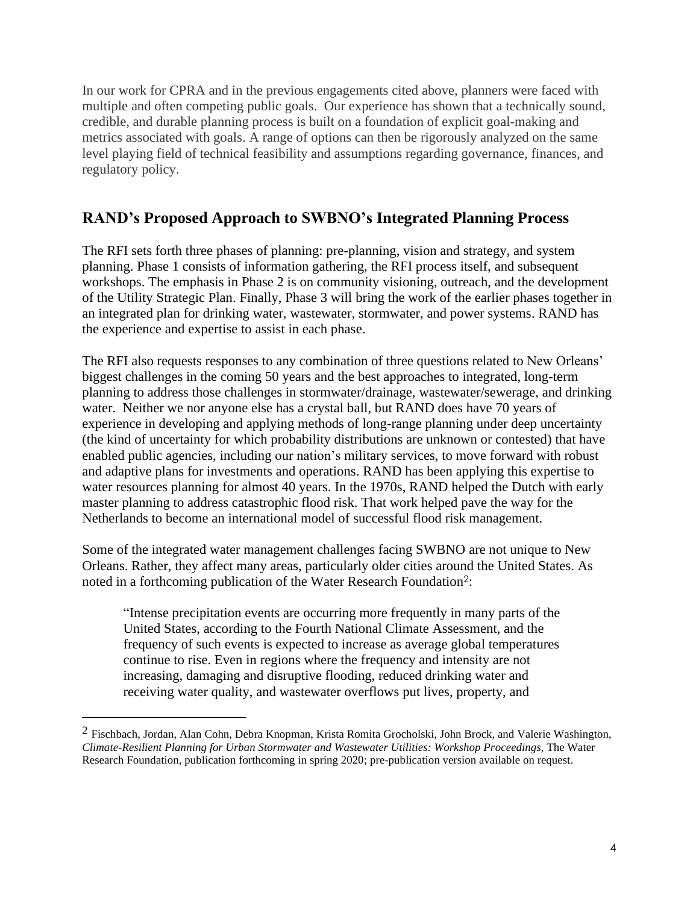In our work for CPRA and in the previous engagements cited above, planners were faced with multiple and often competing public goals. Our experience has shown that a technically sound, credible, and durable planning process is built on a foundation of explicit goal-making and metrics associated with goals. A range of options can then be rigorously analyzed on the same level playing field of technical feasibility and assumptions regarding governance, finances, and regulatory policy.

## **RAND's Proposed Approach to SWBNO's Integrated Planning Process**

The RFI sets forth three phases of planning: pre-planning, vision and strategy, and system planning. Phase 1 consists of information gathering, the RFI process itself, and subsequent workshops. The emphasis in Phase 2 is on community visioning, outreach, and the development of the Utility Strategic Plan. Finally, Phase 3 will bring the work of the earlier phases together in an integrated plan for drinking water, wastewater, stormwater, and power systems. RAND has the experience and expertise to assist in each phase.

The RFI also requests responses to any combination of three questions related to New Orleans' biggest challenges in the coming 50 years and the best approaches to integrated, long-term planning to address those challenges in stormwater/drainage, wastewater/sewerage, and drinking water. Neither we nor anyone else has a crystal ball, but RAND does have 70 years of experience in developing and applying methods of long-range planning under deep uncertainty (the kind of uncertainty for which probability distributions are unknown or contested) that have enabled public agencies, including our nation's military services, to move forward with robust and adaptive plans for investments and operations. RAND has been applying this expertise to water resources planning for almost 40 years. In the 1970s, RAND helped the Dutch with early master planning to address catastrophic flood risk. That work helped pave the way for the Netherlands to become an international model of successful flood risk management.

Some of the integrated water management challenges facing SWBNO are not unique to New Orleans. Rather, they affect many areas, particularly older cities around the United States. As noted in a forthcoming publication of the Water Research Foundation<sup>2</sup>:

"Intense precipitation events are occurring more frequently in many parts of the United States, according to the Fourth National Climate Assessment, and the frequency of such events is expected to increase as average global temperatures continue to rise. Even in regions where the frequency and intensity are not increasing, damaging and disruptive flooding, reduced drinking water and receiving water quality, and wastewater overflows put lives, property, and

<sup>2</sup> Fischbach, Jordan, Alan Cohn, Debra Knopman, Krista Romita Grocholski, John Brock, and Valerie Washington, *Climate-Resilient Planning for Urban Stormwater and Wastewater Utilities: Workshop Proceedings*, The Water Research Foundation, publication forthcoming in spring 2020; pre-publication version available on request.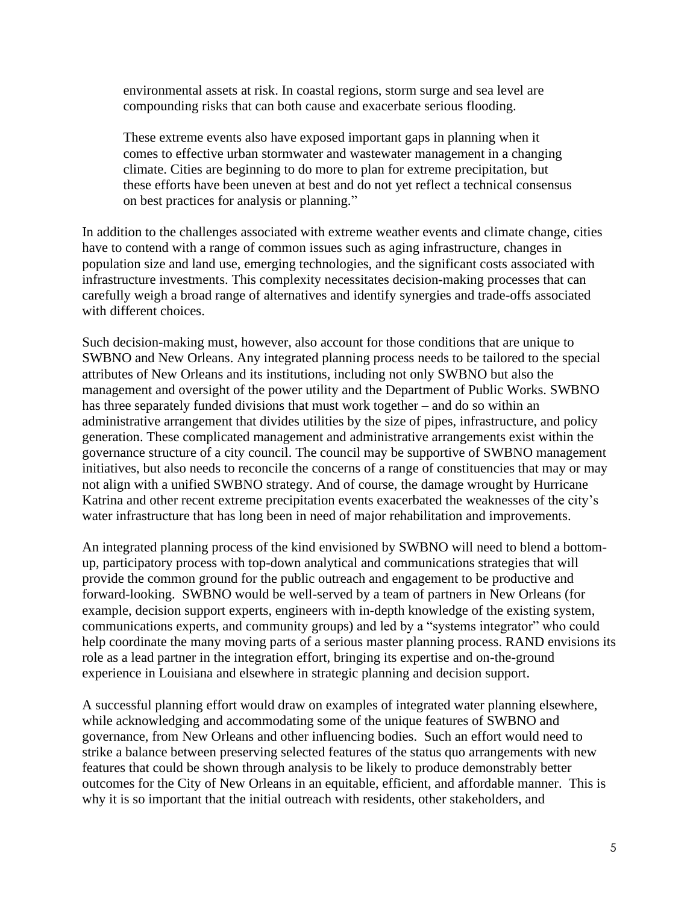environmental assets at risk. In coastal regions, storm surge and sea level are compounding risks that can both cause and exacerbate serious flooding.

These extreme events also have exposed important gaps in planning when it comes to effective urban stormwater and wastewater management in a changing climate. Cities are beginning to do more to plan for extreme precipitation, but these efforts have been uneven at best and do not yet reflect a technical consensus on best practices for analysis or planning."

In addition to the challenges associated with extreme weather events and climate change, cities have to contend with a range of common issues such as aging infrastructure, changes in population size and land use, emerging technologies, and the significant costs associated with infrastructure investments. This complexity necessitates decision-making processes that can carefully weigh a broad range of alternatives and identify synergies and trade-offs associated with different choices.

Such decision-making must, however, also account for those conditions that are unique to SWBNO and New Orleans. Any integrated planning process needs to be tailored to the special attributes of New Orleans and its institutions, including not only SWBNO but also the management and oversight of the power utility and the Department of Public Works. SWBNO has three separately funded divisions that must work together – and do so within an administrative arrangement that divides utilities by the size of pipes, infrastructure, and policy generation. These complicated management and administrative arrangements exist within the governance structure of a city council. The council may be supportive of SWBNO management initiatives, but also needs to reconcile the concerns of a range of constituencies that may or may not align with a unified SWBNO strategy. And of course, the damage wrought by Hurricane Katrina and other recent extreme precipitation events exacerbated the weaknesses of the city's water infrastructure that has long been in need of major rehabilitation and improvements.

An integrated planning process of the kind envisioned by SWBNO will need to blend a bottomup, participatory process with top-down analytical and communications strategies that will provide the common ground for the public outreach and engagement to be productive and forward-looking. SWBNO would be well-served by a team of partners in New Orleans (for example, decision support experts, engineers with in-depth knowledge of the existing system, communications experts, and community groups) and led by a "systems integrator" who could help coordinate the many moving parts of a serious master planning process. RAND envisions its role as a lead partner in the integration effort, bringing its expertise and on-the-ground experience in Louisiana and elsewhere in strategic planning and decision support.

A successful planning effort would draw on examples of integrated water planning elsewhere, while acknowledging and accommodating some of the unique features of SWBNO and governance, from New Orleans and other influencing bodies. Such an effort would need to strike a balance between preserving selected features of the status quo arrangements with new features that could be shown through analysis to be likely to produce demonstrably better outcomes for the City of New Orleans in an equitable, efficient, and affordable manner. This is why it is so important that the initial outreach with residents, other stakeholders, and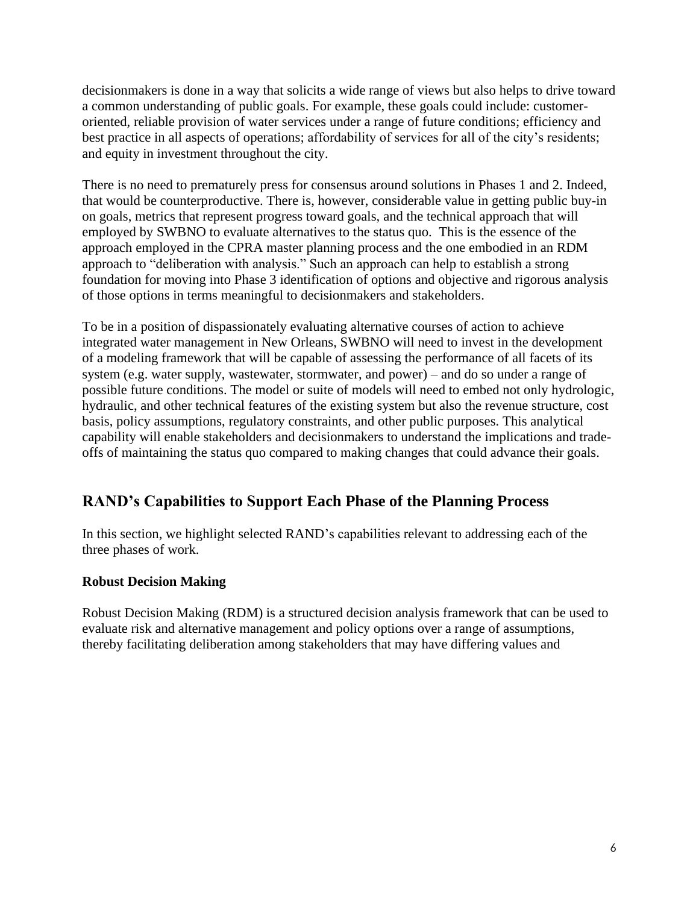decisionmakers is done in a way that solicits a wide range of views but also helps to drive toward a common understanding of public goals. For example, these goals could include: customeroriented, reliable provision of water services under a range of future conditions; efficiency and best practice in all aspects of operations; affordability of services for all of the city's residents; and equity in investment throughout the city.

There is no need to prematurely press for consensus around solutions in Phases 1 and 2. Indeed, that would be counterproductive. There is, however, considerable value in getting public buy-in on goals, metrics that represent progress toward goals, and the technical approach that will employed by SWBNO to evaluate alternatives to the status quo. This is the essence of the approach employed in the CPRA master planning process and the one embodied in an RDM approach to "deliberation with analysis." Such an approach can help to establish a strong foundation for moving into Phase 3 identification of options and objective and rigorous analysis of those options in terms meaningful to decisionmakers and stakeholders.

To be in a position of dispassionately evaluating alternative courses of action to achieve integrated water management in New Orleans, SWBNO will need to invest in the development of a modeling framework that will be capable of assessing the performance of all facets of its system (e.g. water supply, wastewater, stormwater, and power) – and do so under a range of possible future conditions. The model or suite of models will need to embed not only hydrologic, hydraulic, and other technical features of the existing system but also the revenue structure, cost basis, policy assumptions, regulatory constraints, and other public purposes. This analytical capability will enable stakeholders and decisionmakers to understand the implications and tradeoffs of maintaining the status quo compared to making changes that could advance their goals.

# **RAND's Capabilities to Support Each Phase of the Planning Process**

In this section, we highlight selected RAND's capabilities relevant to addressing each of the three phases of work.

#### **Robust Decision Making**

Robust Decision Making (RDM) is a structured decision analysis framework that can be used to evaluate risk and alternative management and policy options over a range of assumptions, thereby facilitating deliberation among stakeholders that may have differing values and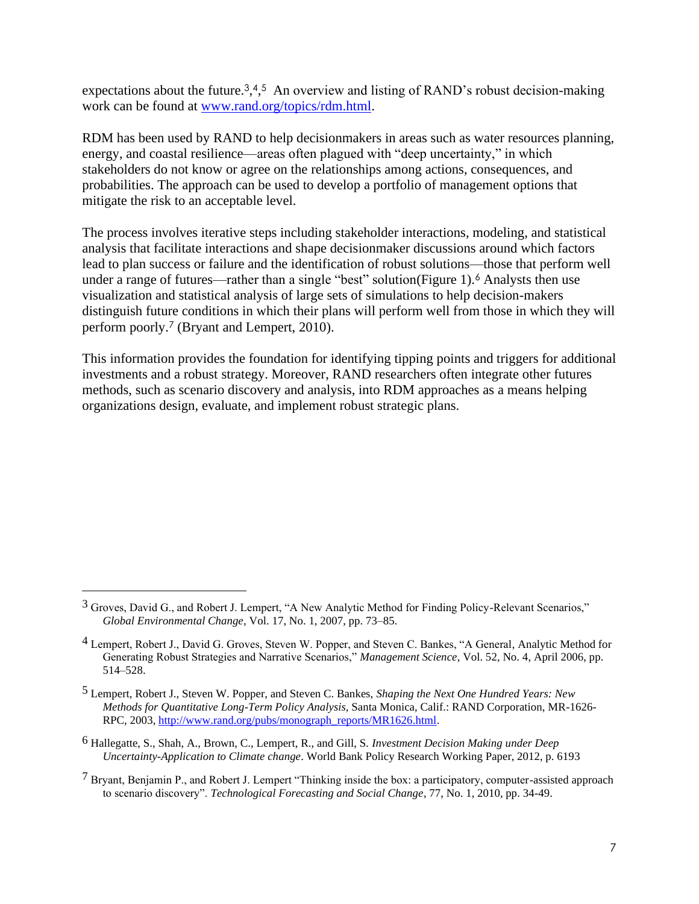expectations about the future.<sup>3</sup>,4,5 An overview and listing of RAND's robust decision-making work can be found at [www.rand.org/topics/rdm.html.](http://www.rand.org/topics/rdm.html)

RDM has been used by RAND to help decisionmakers in areas such as water resources planning, energy, and coastal resilience—areas often plagued with "deep uncertainty," in which stakeholders do not know or agree on the relationships among actions, consequences, and probabilities. The approach can be used to develop a portfolio of management options that mitigate the risk to an acceptable level.

The process involves iterative steps including stakeholder interactions, modeling, and statistical analysis that facilitate interactions and shape decisionmaker discussions around which factors lead to plan success or failure and the identification of robust solutions—those that perform well under a range of futures—rather than a single "best" solution(Figure 1).<sup>6</sup> Analysts then use visualization and statistical analysis of large sets of simulations to help decision-makers distinguish future conditions in which their plans will perform well from those in which they will perform poorly. <sup>7</sup> (Bryant and Lempert, 2010).

This information provides the foundation for identifying tipping points and triggers for additional investments and a robust strategy. Moreover, RAND researchers often integrate other futures methods, such as scenario discovery and analysis, into RDM approaches as a means helping organizations design, evaluate, and implement robust strategic plans.

<sup>3</sup> Groves, David G., and Robert J. Lempert, "A New Analytic Method for Finding Policy-Relevant Scenarios," *Global Environmental Change*, Vol. 17, No. 1, 2007, pp. 73–85.

<sup>4</sup> Lempert, Robert J., David G. Groves, Steven W. Popper, and Steven C. Bankes, "A General, Analytic Method for Generating Robust Strategies and Narrative Scenarios," *Management Science*, Vol. 52, No. 4, April 2006, pp. 514–528.

<sup>5</sup> Lempert, Robert J., Steven W. Popper, and Steven C. Bankes, *Shaping the Next One Hundred Years: New Methods for Quantitative Long-Term Policy Analysis*, Santa Monica, Calif.: RAND Corporation, MR-1626- RPC, 2003, [http://www.rand.org/pubs/monograph\\_reports/MR1626.html.](http://www.rand.org/pubs/monograph_reports/MR1626.html)

<sup>6</sup> Hallegatte, S., Shah, A., Brown, C., Lempert, R., and Gill, S. *Investment Decision Making under Deep Uncertainty-Application to Climate change*. World Bank Policy Research Working Paper, 2012, p. 6193

<sup>7</sup> Bryant, Benjamin P., and Robert J. Lempert "Thinking inside the box: a participatory, computer-assisted approach to scenario discovery". *Technological Forecasting and Social Change*, 77, No. 1, 2010, pp. 34-49.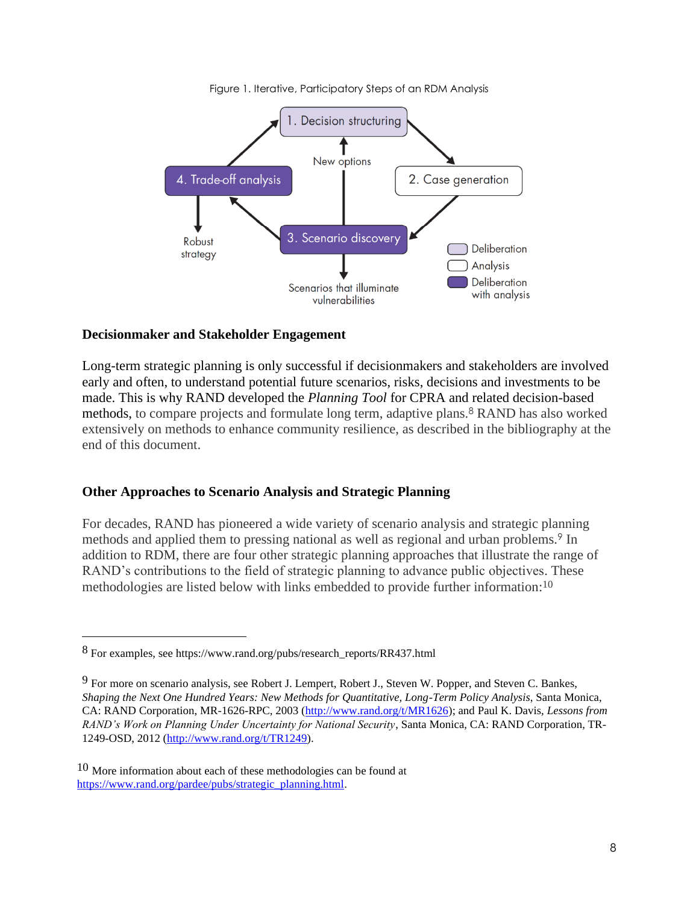

Figure 1. Iterative, Participatory Steps of an RDM Analysis

#### **Decisionmaker and Stakeholder Engagement**

Long-term strategic planning is only successful if decisionmakers and stakeholders are involved early and often, to understand potential future scenarios, risks, decisions and investments to be made. This is why RAND developed the *Planning Tool* for CPRA and related decision-based methods, to compare projects and formulate long term, adaptive plans. <sup>8</sup> RAND has also worked extensively on methods to enhance community resilience, as described in the bibliography at the end of this document.

#### **Other Approaches to Scenario Analysis and Strategic Planning**

For decades, RAND has pioneered a wide variety of scenario analysis and strategic planning methods and applied them to pressing national as well as regional and urban problems.<sup>9</sup> In addition to RDM, there are four other strategic planning approaches that illustrate the range of RAND's contributions to the field of strategic planning to advance public objectives. These methodologies are listed below with links embedded to provide further information: 10

<sup>8</sup> For examples, see https://www.rand.org/pubs/research\_reports/RR437.html

<sup>9</sup> For more on scenario analysis, see Robert J. Lempert, Robert J., Steven W. Popper, and Steven C. Bankes, *Shaping the Next One Hundred Years: New Methods for Quantitative, Long-Term Policy Analysis*, Santa Monica, CA: RAND Corporation, MR-1626-RPC, 2003 [\(http://www.rand.org/t/MR1626\)](http://www.rand.org/pubs/monograph_reports/MR1626.html); and Paul K. Davis, *Lessons from RAND's Work on Planning Under Uncertainty for National Security*, Santa Monica, CA: RAND Corporation, TR-1249-OSD, 2012 [\(http://www.rand.org/t/TR1249\)](http://www.rand.org/pubs/technical_reports/TR1249.html).

<sup>&</sup>lt;sup>10</sup> More information about each of these methodologies can be found at [https://www.rand.org/pardee/pubs/strategic\\_planning.html.](https://www.rand.org/pardee/pubs/strategic_planning.html)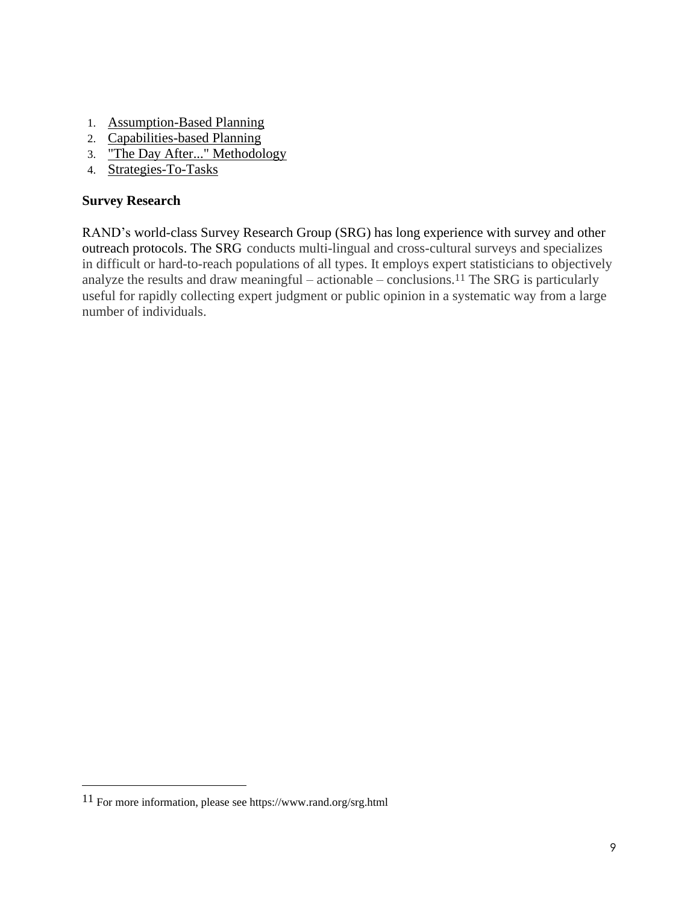- 1. [Assumption-Based Planning](https://www.rand.org/pardee/pubs/strategic_planning/assumption.html)
- 2. [Capabilities-based Planning](https://www.rand.org/pardee/pubs/strategic_planning/capabilities_based.html)
- 3. ["The Day After..." Methodology](https://www.rand.org/pardee/pubs/strategic_planning/day_after.html)
- 4. [Strategies-To-Tasks](https://www.rand.org/pardee/pubs/strategic_planning/strategies2task.html)

### **Survey Research**

RAND's world-class Survey Research Group (SRG) has long experience with survey and other outreach protocols. The SRG conducts multi-lingual and cross-cultural surveys and specializes in difficult or hard-to-reach populations of all types. It employs expert statisticians to objectively analyze the results and draw meaningful – actionable – conclusions.<sup>11</sup> The SRG is particularly useful for rapidly collecting expert judgment or public opinion in a systematic way from a large number of individuals.

<sup>11</sup> For more information, please see https://www.rand.org/srg.html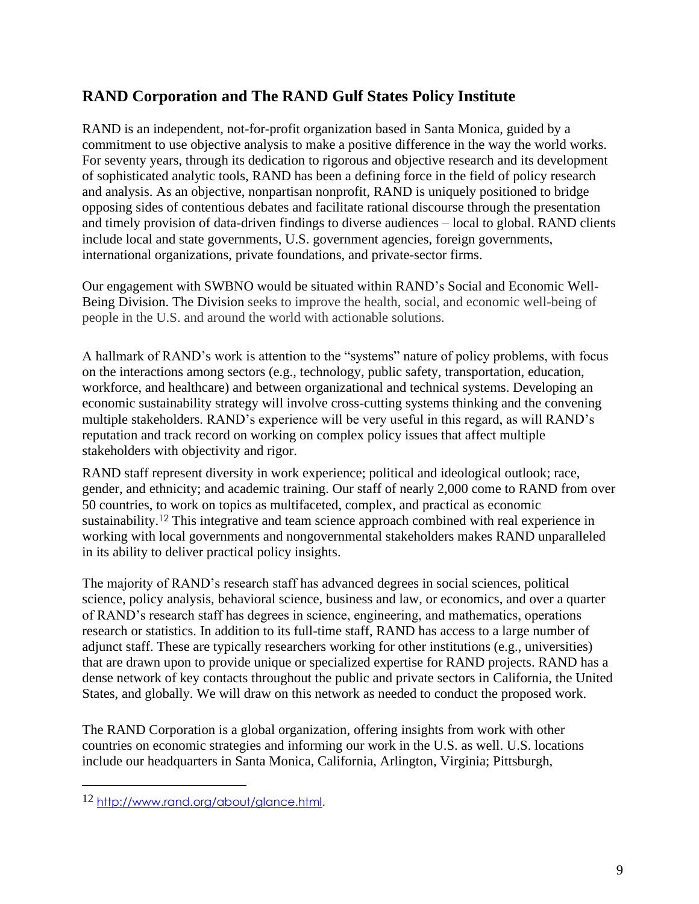# **RAND Corporation and The RAND Gulf States Policy Institute**

RAND is an independent, not-for-profit organization based in Santa Monica, guided by a commitment to use objective analysis to make a positive difference in the way the world works. For seventy years, through its dedication to rigorous and objective research and its development of sophisticated analytic tools, RAND has been a defining force in the field of policy research and analysis. As an objective, nonpartisan nonprofit, RAND is uniquely positioned to bridge opposing sides of contentious debates and facilitate rational discourse through the presentation and timely provision of data-driven findings to diverse audiences – local to global. RAND clients include local and state governments, U.S. government agencies, foreign governments, international organizations, private foundations, and private-sector firms.

Our engagement with SWBNO would be situated within RAND's Social and Economic Well-Being Division. The Division seeks to improve the health, social, and economic well-being of people in the U.S. and around the world with actionable solutions.

A hallmark of RAND's work is attention to the "systems" nature of policy problems, with focus on the interactions among sectors (e.g., technology, public safety, transportation, education, workforce, and healthcare) and between organizational and technical systems. Developing an economic sustainability strategy will involve cross-cutting systems thinking and the convening multiple stakeholders. RAND's experience will be very useful in this regard, as will RAND's reputation and track record on working on complex policy issues that affect multiple stakeholders with objectivity and rigor.

RAND staff represent diversity in work experience; political and ideological outlook; race, gender, and ethnicity; and academic training. Our staff of nearly 2,000 come to RAND from over 50 countries, to work on topics as multifaceted, complex, and practical as economic sustainability.<sup>12</sup> This integrative and team science approach combined with real experience in working with local governments and nongovernmental stakeholders makes RAND unparalleled in its ability to deliver practical policy insights.

The majority of RAND's research staff has advanced degrees in social sciences, political science, policy analysis, behavioral science, business and law, or economics, and over a quarter of RAND's research staff has degrees in science, engineering, and mathematics, operations research or statistics. In addition to its full-time staff, RAND has access to a large number of adjunct staff. These are typically researchers working for other institutions (e.g., universities) that are drawn upon to provide unique or specialized expertise for RAND projects. RAND has a dense network of key contacts throughout the public and private sectors in California, the United States, and globally. We will draw on this network as needed to conduct the proposed work.

The RAND Corporation is a global organization, offering insights from work with other countries on economic strategies and informing our work in the U.S. as well. U.S. locations include our headquarters in Santa Monica, California, Arlington, Virginia; Pittsburgh,

<sup>12</sup> [http://www.rand.org/about/glance.html.](http://www.rand.org/about/glance.html)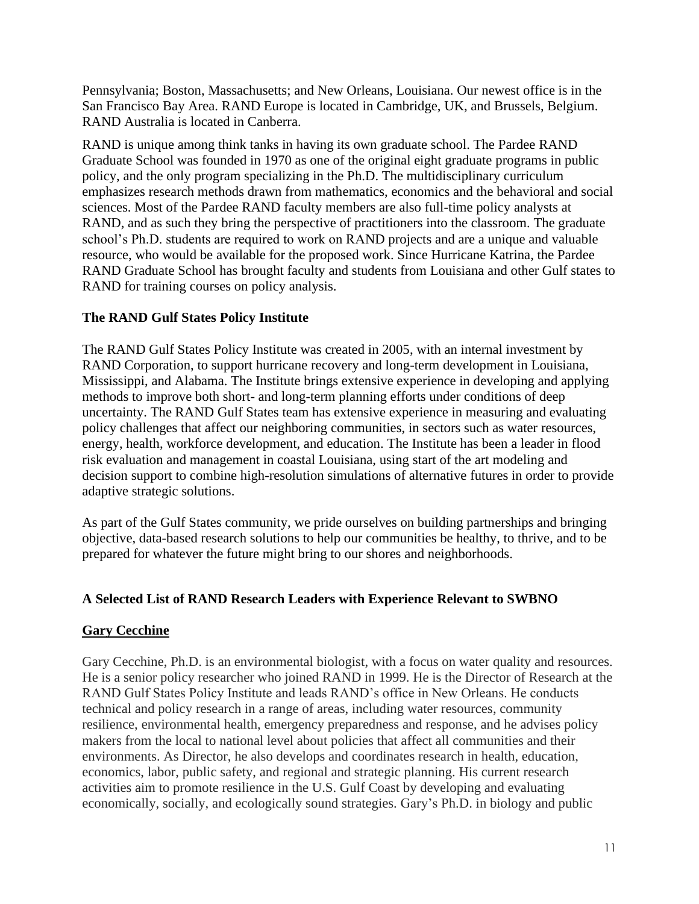Pennsylvania; Boston, Massachusetts; and New Orleans, Louisiana. Our newest office is in the San Francisco Bay Area. RAND Europe is located in Cambridge, UK, and Brussels, Belgium. RAND Australia is located in Canberra.

RAND is unique among think tanks in having its own graduate school. The Pardee RAND Graduate School was founded in 1970 as one of the original eight graduate programs in public policy, and the only program specializing in the Ph.D. The multidisciplinary curriculum emphasizes research methods drawn from mathematics, economics and the behavioral and social sciences. Most of the Pardee RAND faculty members are also full-time policy analysts at RAND, and as such they bring the perspective of practitioners into the classroom. The graduate school's Ph.D. students are required to work on RAND projects and are a unique and valuable resource, who would be available for the proposed work. Since Hurricane Katrina, the Pardee RAND Graduate School has brought faculty and students from Louisiana and other Gulf states to RAND for training courses on policy analysis.

#### **The RAND Gulf States Policy Institute**

The RAND Gulf States Policy Institute was created in 2005, with an internal investment by RAND Corporation, to support hurricane recovery and long-term development in Louisiana, Mississippi, and Alabama. The Institute brings extensive experience in developing and applying methods to improve both short- and long-term planning efforts under conditions of deep uncertainty. The RAND Gulf States team has extensive experience in measuring and evaluating policy challenges that affect our neighboring communities, in sectors such as water resources, energy, health, workforce development, and education. The Institute has been a leader in flood risk evaluation and management in coastal Louisiana, using start of the art modeling and decision support to combine high-resolution simulations of alternative futures in order to provide adaptive strategic solutions.

As part of the Gulf States community, we pride ourselves on building partnerships and bringing objective, data-based research solutions to help our communities be healthy, to thrive, and to be prepared for whatever the future might bring to our shores and neighborhoods.

### **A Selected List of RAND Research Leaders with Experience Relevant to SWBNO**

#### **Gary Cecchine**

Gary Cecchine, Ph.D. is an environmental biologist, with a focus on water quality and resources. He is a senior policy researcher who joined RAND in 1999. He is the Director of Research at the RAND Gulf States Policy Institute and leads RAND's office in New Orleans. He conducts technical and policy research in a range of areas, including water resources, community resilience, environmental health, emergency preparedness and response, and he advises policy makers from the local to national level about policies that affect all communities and their environments. As Director, he also develops and coordinates research in health, education, economics, labor, public safety, and regional and strategic planning. His current research activities aim to promote resilience in the U.S. Gulf Coast by developing and evaluating economically, socially, and ecologically sound strategies. Gary's Ph.D. in biology and public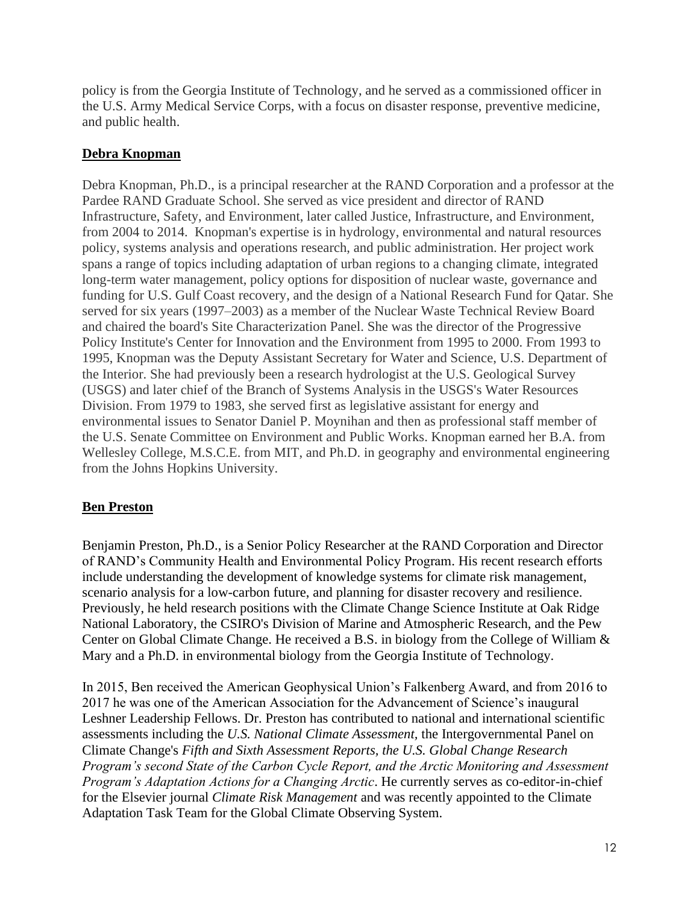policy is from the Georgia Institute of Technology, and he served as a commissioned officer in the U.S. Army Medical Service Corps, with a focus on disaster response, preventive medicine, and public health.

### **Debra Knopman**

Debra Knopman, Ph.D., is a principal researcher at the RAND Corporation and a professor at the Pardee RAND Graduate School. She served as vice president and director of RAND Infrastructure, Safety, and Environment, later called Justice, Infrastructure, and Environment, from 2004 to 2014. Knopman's expertise is in hydrology, environmental and natural resources policy, systems analysis and operations research, and public administration. Her project work spans a range of topics including adaptation of urban regions to a changing climate, integrated long-term water management, policy options for disposition of nuclear waste, governance and funding for U.S. Gulf Coast recovery, and the design of a National Research Fund for Qatar. She served for six years (1997–2003) as a member of the Nuclear Waste Technical Review Board and chaired the board's Site Characterization Panel. She was the director of the Progressive Policy Institute's Center for Innovation and the Environment from 1995 to 2000. From 1993 to 1995, Knopman was the Deputy Assistant Secretary for Water and Science, U.S. Department of the Interior. She had previously been a research hydrologist at the U.S. Geological Survey (USGS) and later chief of the Branch of Systems Analysis in the USGS's Water Resources Division. From 1979 to 1983, she served first as legislative assistant for energy and environmental issues to Senator Daniel P. Moynihan and then as professional staff member of the U.S. Senate Committee on Environment and Public Works. Knopman earned her B.A. from Wellesley College, M.S.C.E. from MIT, and Ph.D. in geography and environmental engineering from the Johns Hopkins University.

#### **Ben Preston**

Benjamin Preston, Ph.D., is a Senior Policy Researcher at the RAND Corporation and Director of RAND's Community Health and Environmental Policy Program. His recent research efforts include understanding the development of knowledge systems for climate risk management, scenario analysis for a low-carbon future, and planning for disaster recovery and resilience. Previously, he held research positions with the Climate Change Science Institute at Oak Ridge National Laboratory, the CSIRO's Division of Marine and Atmospheric Research, and the Pew Center on Global Climate Change. He received a B.S. in biology from the College of William & Mary and a Ph.D. in environmental biology from the Georgia Institute of Technology.

In 2015, Ben received the American Geophysical Union's Falkenberg Award, and from 2016 to 2017 he was one of the American Association for the Advancement of Science's inaugural Leshner Leadership Fellows. Dr. Preston has contributed to national and international scientific assessments including the *U.S. National Climate Assessment,* the Intergovernmental Panel on Climate Change's *Fifth and Sixth Assessment Reports, the U.S. Global Change Research Program's second State of the Carbon Cycle Report, and the Arctic Monitoring and Assessment Program's Adaptation Actions for a Changing Arctic*. He currently serves as co-editor-in-chief for the Elsevier journal *Climate Risk Management* and was recently appointed to the Climate Adaptation Task Team for the Global Climate Observing System.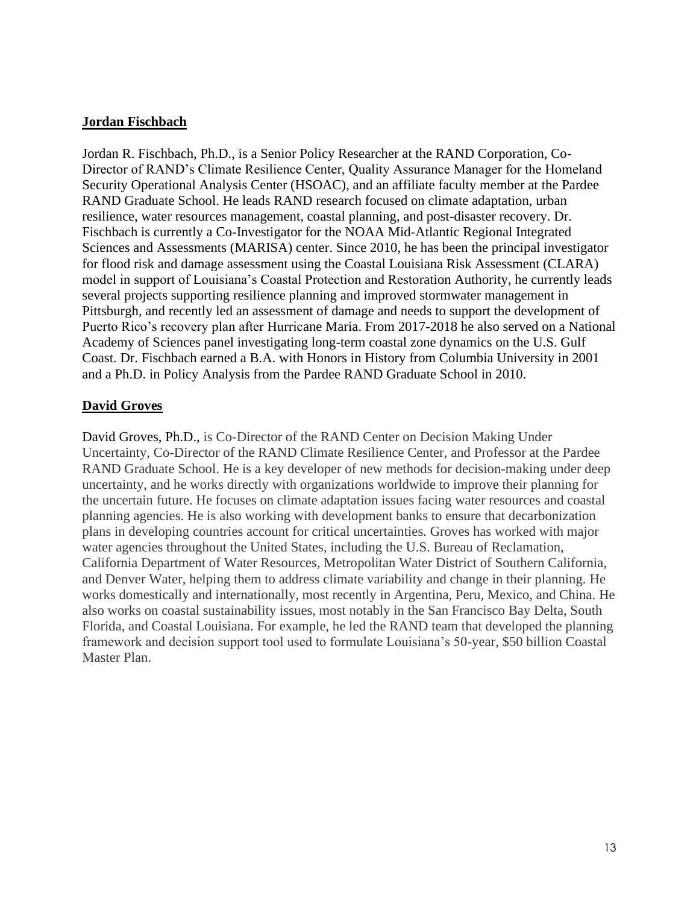#### **Jordan Fischbach**

Jordan R. Fischbach, Ph.D., is a Senior Policy Researcher at the RAND Corporation, Co-Director of RAND's Climate Resilience Center, Quality Assurance Manager for the Homeland Security Operational Analysis Center (HSOAC), and an affiliate faculty member at the Pardee RAND Graduate School. He leads RAND research focused on climate adaptation, urban resilience, water resources management, coastal planning, and post-disaster recovery. Dr. Fischbach is currently a Co-Investigator for the NOAA Mid-Atlantic Regional Integrated Sciences and Assessments (MARISA) center. Since 2010, he has been the principal investigator for flood risk and damage assessment using the Coastal Louisiana Risk Assessment (CLARA) model in support of Louisiana's Coastal Protection and Restoration Authority, he currently leads several projects supporting resilience planning and improved stormwater management in Pittsburgh, and recently led an assessment of damage and needs to support the development of Puerto Rico's recovery plan after Hurricane Maria. From 2017-2018 he also served on a National Academy of Sciences panel investigating long-term coastal zone dynamics on the U.S. Gulf Coast. Dr. Fischbach earned a B.A. with Honors in History from Columbia University in 2001 and a Ph.D. in Policy Analysis from the Pardee RAND Graduate School in 2010.

#### **David Groves**

David Groves, Ph.D., is Co-Director of the RAND Center on Decision Making Under Uncertainty, Co-Director of the RAND Climate Resilience Center, and Professor at the Pardee RAND Graduate School. He is a key developer of new methods for decision-making under deep uncertainty, and he works directly with organizations worldwide to improve their planning for the uncertain future. He focuses on climate adaptation issues facing water resources and coastal planning agencies. He is also working with development banks to ensure that decarbonization plans in developing countries account for critical uncertainties. Groves has worked with major water agencies throughout the United States, including the U.S. Bureau of Reclamation, California Department of Water Resources, Metropolitan Water District of Southern California, and Denver Water, helping them to address climate variability and change in their planning. He works domestically and internationally, most recently in Argentina, Peru, Mexico, and China. He also works on coastal sustainability issues, most notably in the San Francisco Bay Delta, South Florida, and Coastal Louisiana. For example, he led the RAND team that developed the planning framework and decision support tool used to formulate Louisiana's 50-year, \$50 billion Coastal Master Plan.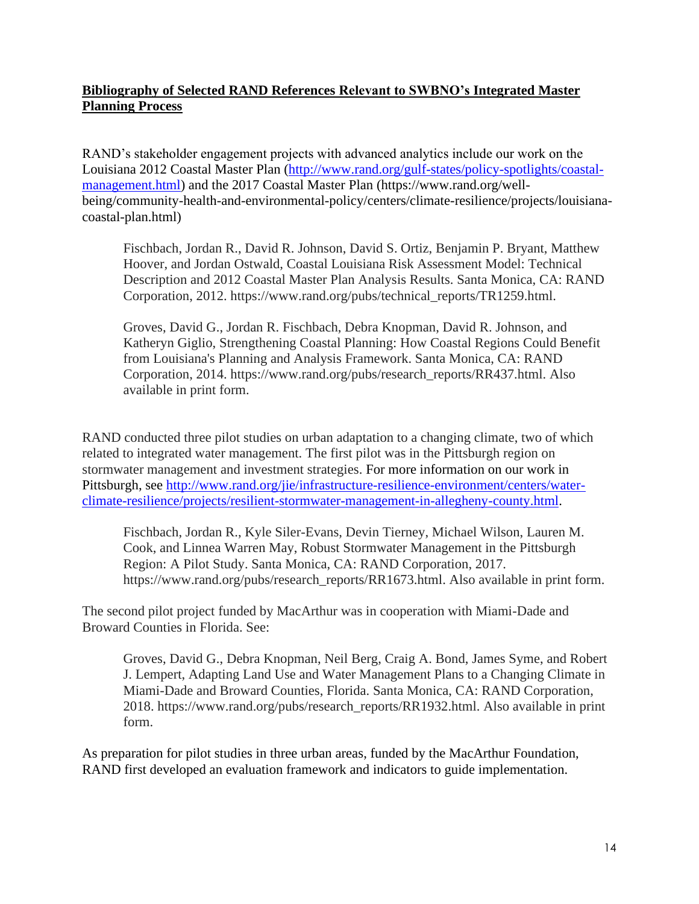### **Bibliography of Selected RAND References Relevant to SWBNO's Integrated Master Planning Process**

RAND's stakeholder engagement projects with advanced analytics include our work on the Louisiana 2012 Coastal Master Plan [\(http://www.rand.org/gulf-states/policy-spotlights/coastal](http://www.rand.org/gulf-states/policy-spotlights/coastal-management.html)[management.html\)](http://www.rand.org/gulf-states/policy-spotlights/coastal-management.html) and the 2017 Coastal Master Plan (https://www.rand.org/wellbeing/community-health-and-environmental-policy/centers/climate-resilience/projects/louisianacoastal-plan.html)

Fischbach, Jordan R., David R. Johnson, David S. Ortiz, Benjamin P. Bryant, Matthew Hoover, and Jordan Ostwald, Coastal Louisiana Risk Assessment Model: Technical Description and 2012 Coastal Master Plan Analysis Results. Santa Monica, CA: RAND Corporation, 2012. https://www.rand.org/pubs/technical\_reports/TR1259.html.

Groves, David G., Jordan R. Fischbach, Debra Knopman, David R. Johnson, and Katheryn Giglio, Strengthening Coastal Planning: How Coastal Regions Could Benefit from Louisiana's Planning and Analysis Framework. Santa Monica, CA: RAND Corporation, 2014. https://www.rand.org/pubs/research\_reports/RR437.html. Also available in print form.

RAND conducted three pilot studies on urban adaptation to a changing climate, two of which related to integrated water management. The first pilot was in the Pittsburgh region on stormwater management and investment strategies. For more information on our work in Pittsburgh, see [http://www.rand.org/jie/infrastructure-resilience-environment/centers/water](http://www.rand.org/jie/infrastructure-resilience-environment/centers/water-climate-resilience/projects/resilient-stormwater-management-in-allegheny-county.html)[climate-resilience/projects/resilient-stormwater-management-in-allegheny-county.html.](http://www.rand.org/jie/infrastructure-resilience-environment/centers/water-climate-resilience/projects/resilient-stormwater-management-in-allegheny-county.html)

Fischbach, Jordan R., Kyle Siler-Evans, Devin Tierney, Michael Wilson, Lauren M. Cook, and Linnea Warren May, Robust Stormwater Management in the Pittsburgh Region: A Pilot Study. Santa Monica, CA: RAND Corporation, 2017. https://www.rand.org/pubs/research\_reports/RR1673.html. Also available in print form.

The second pilot project funded by MacArthur was in cooperation with Miami-Dade and Broward Counties in Florida. See:

Groves, David G., Debra Knopman, Neil Berg, Craig A. Bond, James Syme, and Robert J. Lempert, Adapting Land Use and Water Management Plans to a Changing Climate in Miami-Dade and Broward Counties, Florida. Santa Monica, CA: RAND Corporation, 2018. https://www.rand.org/pubs/research\_reports/RR1932.html. Also available in print form.

As preparation for pilot studies in three urban areas, funded by the MacArthur Foundation, RAND first developed an evaluation framework and indicators to guide implementation.